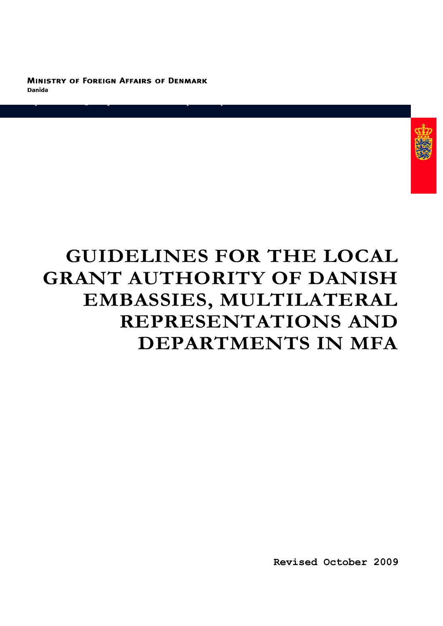**MINISTRY OF FOREIGN AFFAIRS OF DENMARK Danida** 

**Department for Quality Assurance of Development Cooperation** 



# **GUIDELINES FOR THE LOCAL GRANT AUTHORITY OF DANISH EMBASSIES, MULTILATERAL REPRESENTATIONS AND DEPARTMENTS IN MFA**

**Revised October 2009**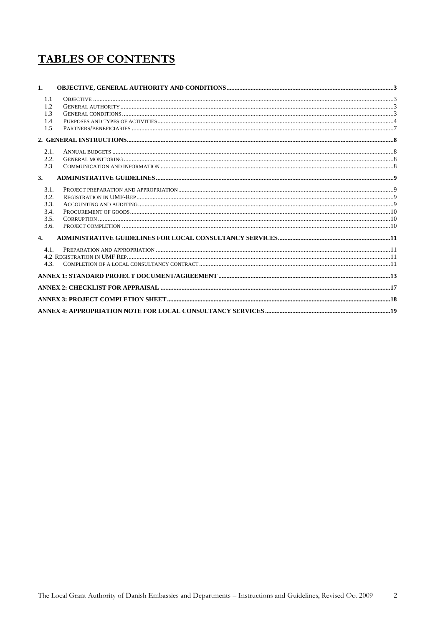# **TABLES OF CONTENTS**

| 1.               |  |
|------------------|--|
| 1.1              |  |
| 1.2              |  |
| 1.3              |  |
| 1.4              |  |
| 1.5              |  |
|                  |  |
| 2.1.             |  |
| 2.2.             |  |
| 2.3              |  |
| 3.               |  |
| 3.1.             |  |
| 3.2.             |  |
| 3.3.             |  |
| 3.4.             |  |
| 3.5.             |  |
| 3.6.             |  |
| $\overline{4}$ . |  |
| 4.1              |  |
|                  |  |
| 4.3.             |  |
|                  |  |
|                  |  |
|                  |  |
|                  |  |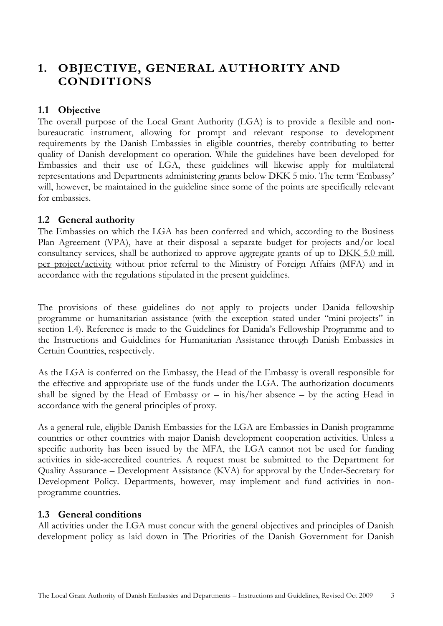# <span id="page-2-0"></span>**1. OBJECTIVE, GENERAL AUTHORITY AND CONDITIONS**

## <span id="page-2-1"></span>**1.1 Objective**

The overall purpose of the Local Grant Authority (LGA) is to provide a flexible and nonbureaucratic instrument, allowing for prompt and relevant response to development requirements by the Danish Embassies in eligible countries, thereby contributing to better quality of Danish development co-operation. While the guidelines have been developed for Embassies and their use of LGA, these guidelines will likewise apply for multilateral representations and Departments administering grants below DKK 5 mio. The term 'Embassy' will, however, be maintained in the guideline since some of the points are specifically relevant for embassies.

### <span id="page-2-2"></span>**1.2 General authority**

The Embassies on which the LGA has been conferred and which, according to the Business Plan Agreement (VPA), have at their disposal a separate budget for projects and/or local consultancy services, shall be authorized to approve aggregate grants of up to DKK 5.0 mill. per project/activity without prior referral to the Ministry of Foreign Affairs (MFA) and in accordance with the regulations stipulated in the present guidelines.

The provisions of these guidelines do not apply to projects under Danida fellowship programme or humanitarian assistance (with the exception stated under "mini-projects" in section 1.4). Reference is made to the Guidelines for Danida's Fellowship Programme and to the Instructions and Guidelines for Humanitarian Assistance through Danish Embassies in Certain Countries, respectively.

As the LGA is conferred on the Embassy, the Head of the Embassy is overall responsible for the effective and appropriate use of the funds under the LGA. The authorization documents shall be signed by the Head of Embassy or  $-$  in his/her absence  $-$  by the acting Head in accordance with the general principles of proxy.

As a general rule, eligible Danish Embassies for the LGA are Embassies in Danish programme countries or other countries with major Danish development cooperation activities. Unless a specific authority has been issued by the MFA, the LGA cannot not be used for funding activities in side-accredited countries. A request must be submitted to the Department for Quality Assurance – Development Assistance (KVA) for approval by the Under-Secretary for Development Policy. Departments, however, may implement and fund activities in nonprogramme countries.

### <span id="page-2-3"></span>**1.3 General conditions**

All activities under the LGA must concur with the general objectives and principles of Danish development policy as laid down in The Priorities of the Danish Government for Danish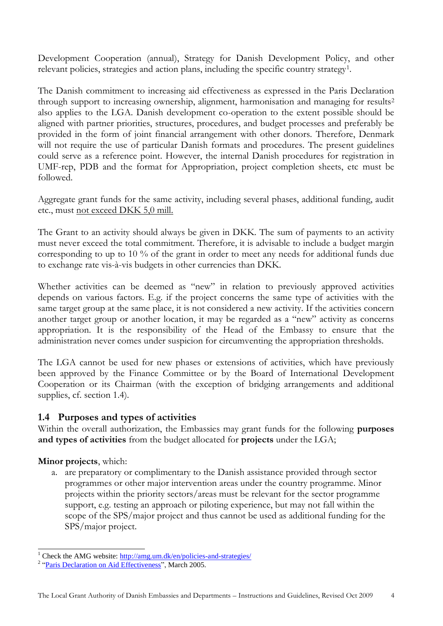Development Cooperation (annual), Strategy for Danish Development Policy, and other relevant policies, strategies and action plans, including the specific country strategy<sup>1</sup>.

The Danish commitment to increasing aid effectiveness as expressed in the Paris Declaration through support to increasing ownership, alignment, harmonisation and managing for results<sup>2</sup> also applies to the LGA. Danish development co-operation to the extent possible should be aligned with partner priorities, structures, procedures, and budget processes and preferably be provided in the form of joint financial arrangement with other donors. Therefore, Denmark will not require the use of particular Danish formats and procedures. The present guidelines could serve as a reference point. However, the internal Danish procedures for registration in UMF-rep, PDB and the format for Appropriation, project completion sheets, etc must be followed.

Aggregate grant funds for the same activity, including several phases, additional funding, audit etc., must not exceed DKK 5,0 mill.

The Grant to an activity should always be given in DKK. The sum of payments to an activity must never exceed the total commitment. Therefore, it is advisable to include a budget margin corresponding to up to 10 % of the grant in order to meet any needs for additional funds due to exchange rate vis-à-vis budgets in other currencies than DKK.

Whether activities can be deemed as "new" in relation to previously approved activities depends on various factors. E.g. if the project concerns the same type of activities with the same target group at the same place, it is not considered a new activity. If the activities concern another target group or another location, it may be regarded as a "new" activity as concerns appropriation. It is the responsibility of the Head of the Embassy to ensure that the administration never comes under suspicion for circumventing the appropriation thresholds.

The LGA cannot be used for new phases or extensions of activities, which have previously been approved by the Finance Committee or by the Board of International Development Cooperation or its Chairman (with the exception of bridging arrangements and additional supplies, cf. section 1.4).

### <span id="page-3-0"></span>**1.4 Purposes and types of activities**

Within the overall authorization, the Embassies may grant funds for the following **purposes and types of activities** from the budget allocated for **projects** under the LGA;

### **Minor projects**, which:

a. are preparatory or complimentary to the Danish assistance provided through sector programmes or other major intervention areas under the country programme. Minor projects within the priority sectors/areas must be relevant for the sector programme support, e.g. testing an approach or piloting experience, but may not fall within the scope of the SPS/major project and thus cannot be used as additional funding for the SPS/major project.

<sup>-</sup><sup>1</sup> Check the AMG website:  $\frac{http://amg.um.dk/en/policies-and-strategies/}{http://amg.um.dk/en/policies-and-strategies/}$ 

<sup>&</sup>lt;sup>2</sup> ["Paris Declaration on Aid Effectiveness"](http://www.oecd.org/document/18/0,2340,en_2649_3236398_35401554_1_1_1_1,00.html), March 2005.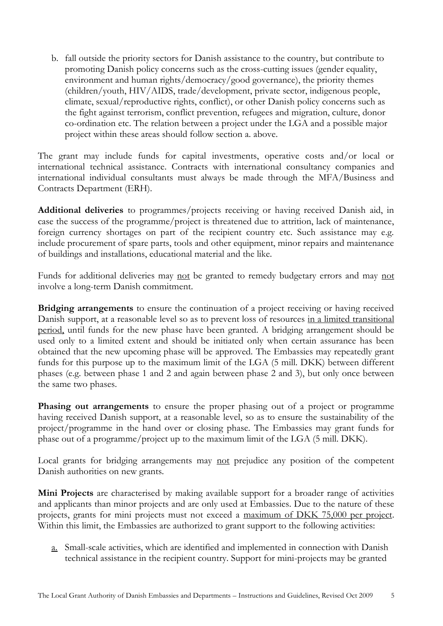b. fall outside the priority sectors for Danish assistance to the country, but contribute to promoting Danish policy concerns such as the cross-cutting issues (gender equality, environment and human rights/democracy/good governance), the priority themes (children/youth, HIV/AIDS, trade/development, private sector, indigenous people, climate, sexual/reproductive rights, conflict), or other Danish policy concerns such as the fight against terrorism, conflict prevention, refugees and migration, culture, donor co-ordination etc. The relation between a project under the LGA and a possible major project within these areas should follow section a. above.

The grant may include funds for capital investments, operative costs and/or local or international technical assistance. Contracts with international consultancy companies and international individual consultants must always be made through the MFA/Business and Contracts Department (ERH).

**Additional deliveries** to programmes/projects receiving or having received Danish aid, in case the success of the programme/project is threatened due to attrition, lack of maintenance, foreign currency shortages on part of the recipient country etc. Such assistance may e.g. include procurement of spare parts, tools and other equipment, minor repairs and maintenance of buildings and installations, educational material and the like.

Funds for additional deliveries may not be granted to remedy budgetary errors and may not involve a long-term Danish commitment.

**Bridging arrangements** to ensure the continuation of a project receiving or having received Danish support, at a reasonable level so as to prevent loss of resources in a limited transitional period, until funds for the new phase have been granted. A bridging arrangement should be used only to a limited extent and should be initiated only when certain assurance has been obtained that the new upcoming phase will be approved. The Embassies may repeatedly grant funds for this purpose up to the maximum limit of the LGA (5 mill. DKK) between different phases (e.g. between phase 1 and 2 and again between phase 2 and 3), but only once between the same two phases.

**Phasing out arrangements** to ensure the proper phasing out of a project or programme having received Danish support, at a reasonable level, so as to ensure the sustainability of the project/programme in the hand over or closing phase. The Embassies may grant funds for phase out of a programme/project up to the maximum limit of the LGA (5 mill. DKK).

Local grants for bridging arrangements may not prejudice any position of the competent Danish authorities on new grants.

**Mini Projects** are characterised by making available support for a broader range of activities and applicants than minor projects and are only used at Embassies. Due to the nature of these projects, grants for mini projects must not exceed a maximum of DKK 75,000 per project. Within this limit, the Embassies are authorized to grant support to the following activities:

a. Small-scale activities, which are identified and implemented in connection with Danish technical assistance in the recipient country. Support for mini-projects may be granted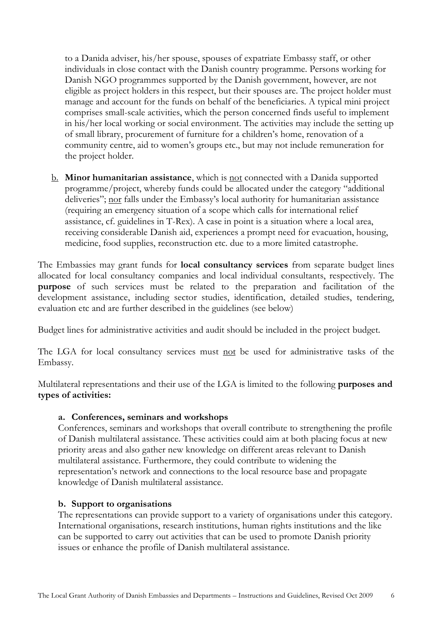to a Danida adviser, his/her spouse, spouses of expatriate Embassy staff, or other individuals in close contact with the Danish country programme. Persons working for Danish NGO programmes supported by the Danish government, however, are not eligible as project holders in this respect, but their spouses are. The project holder must manage and account for the funds on behalf of the beneficiaries. A typical mini project comprises small-scale activities, which the person concerned finds useful to implement in his/her local working or social environment. The activities may include the setting up of small library, procurement of furniture for a children's home, renovation of a community centre, aid to women's groups etc., but may not include remuneration for the project holder.

b. **Minor humanitarian assistance**, which is not connected with a Danida supported programme/project, whereby funds could be allocated under the category "additional deliveries"; nor falls under the Embassy's local authority for humanitarian assistance (requiring an emergency situation of a scope which calls for international relief assistance, cf. guidelines in T-Rex). A case in point is a situation where a local area, receiving considerable Danish aid, experiences a prompt need for evacuation, housing, medicine, food supplies, reconstruction etc. due to a more limited catastrophe.

The Embassies may grant funds for **local consultancy services** from separate budget lines allocated for local consultancy companies and local individual consultants, respectively. The **purpose** of such services must be related to the preparation and facilitation of the development assistance, including sector studies, identification, detailed studies, tendering, evaluation etc and are further described in the guidelines (see below)

Budget lines for administrative activities and audit should be included in the project budget.

The LGA for local consultancy services must not be used for administrative tasks of the Embassy.

Multilateral representations and their use of the LGA is limited to the following **purposes and types of activities:**

#### **a. Conferences, seminars and workshops**

Conferences, seminars and workshops that overall contribute to strengthening the profile of Danish multilateral assistance. These activities could aim at both placing focus at new priority areas and also gather new knowledge on different areas relevant to Danish multilateral assistance. Furthermore, they could contribute to widening the representation's network and connections to the local resource base and propagate knowledge of Danish multilateral assistance.

#### **b. Support to organisations**

The representations can provide support to a variety of organisations under this category. International organisations, research institutions, human rights institutions and the like can be supported to carry out activities that can be used to promote Danish priority issues or enhance the profile of Danish multilateral assistance.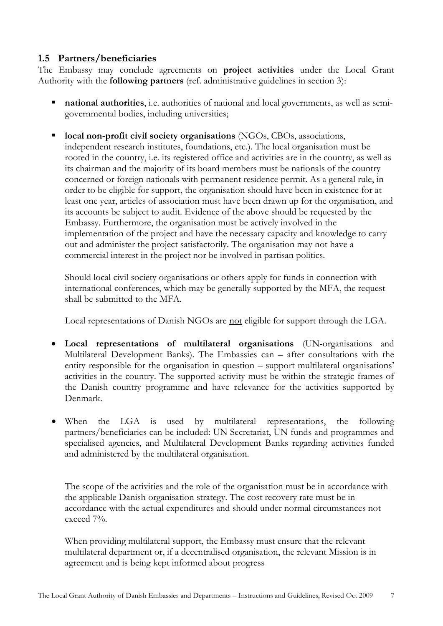# <span id="page-6-0"></span>**1.5 Partners/beneficiaries**

The Embassy may conclude agreements on **project activities** under the Local Grant Authority with the **following partners** (ref. administrative guidelines in section 3):

- **national authorities**, i.e. authorities of national and local governments, as well as semigovernmental bodies, including universities;
- **local non-profit civil society organisations** (NGOs, CBOs, associations, independent research institutes, foundations, etc.). The local organisation must be rooted in the country, i.e. its registered office and activities are in the country, as well as its chairman and the majority of its board members must be nationals of the country concerned or foreign nationals with permanent residence permit. As a general rule, in order to be eligible for support, the organisation should have been in existence for at least one year, articles of association must have been drawn up for the organisation, and its accounts be subject to audit. Evidence of the above should be requested by the Embassy. Furthermore, the organisation must be actively involved in the implementation of the project and have the necessary capacity and knowledge to carry out and administer the project satisfactorily. The organisation may not have a commercial interest in the project nor be involved in partisan politics.

Should local civil society organisations or others apply for funds in connection with international conferences, which may be generally supported by the MFA, the request shall be submitted to the MFA.

Local representations of Danish NGOs are not eligible for support through the LGA.

- **Local representations of multilateral organisations** (UN-organisations and Multilateral Development Banks). The Embassies can – after consultations with the entity responsible for the organisation in question – support multilateral organisations' activities in the country. The supported activity must be within the strategic frames of the Danish country programme and have relevance for the activities supported by Denmark.
- When the LGA is used by multilateral representations, the following partners/beneficiaries can be included: UN Secretariat, UN funds and programmes and specialised agencies, and Multilateral Development Banks regarding activities funded and administered by the multilateral organisation.

The scope of the activities and the role of the organisation must be in accordance with the applicable Danish organisation strategy. The cost recovery rate must be in accordance with the actual expenditures and should under normal circumstances not exceed 7%.

When providing multilateral support, the Embassy must ensure that the relevant multilateral department or, if a decentralised organisation, the relevant Mission is in agreement and is being kept informed about progress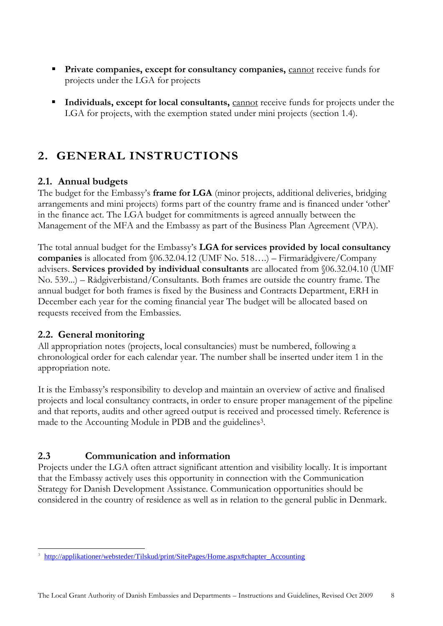- **Private companies, except for consultancy companies, cannot receive funds for** projects under the LGA for projects
- **Individuals, except for local consultants, <b>cannot** receive funds for projects under the LGA for projects, with the exemption stated under mini projects (section 1.4).

# <span id="page-7-0"></span>**2. GENERAL INSTRUCTIONS**

# <span id="page-7-1"></span>**2.1. Annual budgets**

The budget for the Embassy's **frame for LGA** (minor projects, additional deliveries, bridging arrangements and mini projects) forms part of the country frame and is financed under 'other' in the finance act. The LGA budget for commitments is agreed annually between the Management of the MFA and the Embassy as part of the Business Plan Agreement (VPA).

The total annual budget for the Embassy's **LGA for services provided by local consultancy companies** is allocated from §06.32.04.12 (UMF No. 518….) – Firmarådgivere/Company advisers. **Services provided by individual consultants** are allocated from §06.32.04.10 (UMF No. 539...) – Rådgiverbistand/Consultants. Both frames are outside the country frame. The annual budget for both frames is fixed by the Business and Contracts Department, ERH in December each year for the coming financial year The budget will be allocated based on requests received from the Embassies.

# <span id="page-7-2"></span>**2.2. General monitoring**

-

All appropriation notes (projects, local consultancies) must be numbered, following a chronological order for each calendar year. The number shall be inserted under item 1 in the appropriation note.

It is the Embassy's responsibility to develop and maintain an overview of active and finalised projects and local consultancy contracts, in order to ensure proper management of the pipeline and that reports, audits and other agreed output is received and processed timely. Reference is made to the Accounting Module in PDB and the guidelines<sup>3</sup>.

# <span id="page-7-3"></span>**2.3 Communication and information**

Projects under the LGA often attract significant attention and visibility locally. It is important that the Embassy actively uses this opportunity in connection with the Communication Strategy for Danish Development Assistance. Communication opportunities should be considered in the country of residence as well as in relation to the general public in Denmark.

<sup>3</sup> [http://applikationer/websteder/Tilskud/print/SitePages/Home.aspx#chapter\\_Accounting](http://applikationer/websteder/Tilskud/print/SitePages/Home.aspx#chapter_Accounting)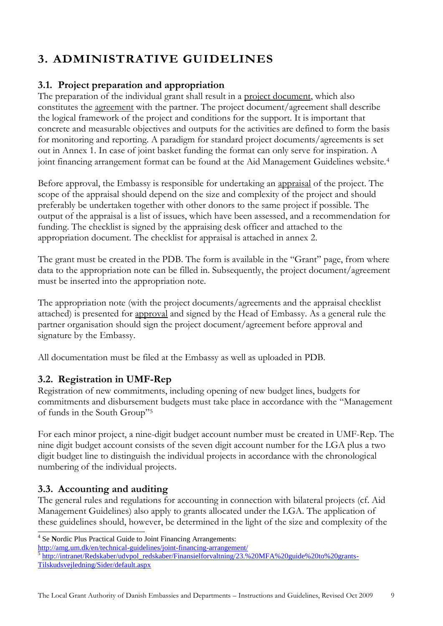# <span id="page-8-0"></span>**3. ADMINISTRATIVE GUIDELINES**

# <span id="page-8-1"></span>**3.1. Project preparation and appropriation**

The preparation of the individual grant shall result in a project document, which also constitutes the agreement with the partner. The project document/agreement shall describe the logical framework of the project and conditions for the support. It is important that concrete and measurable objectives and outputs for the activities are defined to form the basis for monitoring and reporting. A paradigm for standard project documents/agreements is set out in Annex 1. In case of joint basket funding the format can only serve for inspiration. A joint financing arrangement format can be found at the Aid Management Guidelines website.<sup>4</sup>

Before approval, the Embassy is responsible for undertaking an appraisal of the project. The scope of the appraisal should depend on the size and complexity of the project and should preferably be undertaken together with other donors to the same project if possible. The output of the appraisal is a list of issues, which have been assessed, and a recommendation for funding. The checklist is signed by the appraising desk officer and attached to the appropriation document. The checklist for appraisal is attached in annex 2.

The grant must be created in the PDB. The form is available in the "Grant" page, from where data to the appropriation note can be filled in. Subsequently, the project document/agreement must be inserted into the appropriation note.

The appropriation note (with the project documents/agreements and the appraisal checklist attached) is presented for approval and signed by the Head of Embassy. As a general rule the partner organisation should sign the project document/agreement before approval and signature by the Embassy.

All documentation must be filed at the Embassy as well as uploaded in PDB.

# <span id="page-8-2"></span>**3.2. Registration in UMF-Rep**

Registration of new commitments, including opening of new budget lines, budgets for commitments and disbursement budgets must take place in accordance with the "Management of funds in the South Group"<sup>5</sup>

For each minor project, a nine-digit budget account number must be created in UMF-Rep. The nine digit budget account consists of the seven digit account number for the LGA plus a two digit budget line to distinguish the individual projects in accordance with the chronological numbering of the individual projects.

# <span id="page-8-3"></span>**3.3. Accounting and auditing**

The general rules and regulations for accounting in connection with bilateral projects (cf. Aid Management Guidelines) also apply to grants allocated under the LGA. The application of these guidelines should, however, be determined in the light of the size and complexity of the

 4 Se **N**ordic Plus Practical Guide to Joint Financing Arrangements:

<http://amg.um.dk/en/technical-guidelines/joint-financing-arrangement/><br><sup>5</sup> [http://intranet/Redskaber/udvpol\\_redskaber/Finansielforvaltning/23.%20MFA%20guide%20to%20grants-](http://intranet/Redskaber/udvpol_redskaber/Finansielforvaltning/23.%20MFA%20guide%20to%20grants-Tilskudsvejledning/Sider/default.aspx)[Tilskudsvejledning/Sider/default.aspx](http://intranet/Redskaber/udvpol_redskaber/Finansielforvaltning/23.%20MFA%20guide%20to%20grants-Tilskudsvejledning/Sider/default.aspx)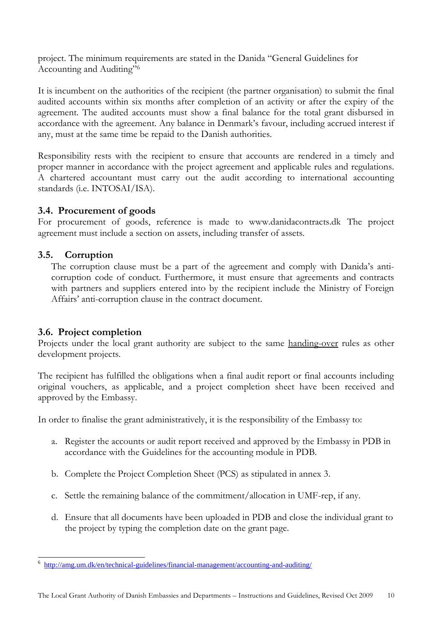project. The minimum requirements are stated in the Danida "General Guidelines for Accounting and Auditing" 6

It is incumbent on the authorities of the recipient (the partner organisation) to submit the final audited accounts within six months after completion of an activity or after the expiry of the agreement. The audited accounts must show a final balance for the total grant disbursed in accordance with the agreement. Any balance in Denmark's favour, including accrued interest if any, must at the same time be repaid to the Danish authorities.

Responsibility rests with the recipient to ensure that accounts are rendered in a timely and proper manner in accordance with the project agreement and applicable rules and regulations. A chartered accountant must carry out the audit according to international accounting standards (i.e. INTOSAI/ISA).

### <span id="page-9-0"></span>**3.4. Procurement of goods**

For procurement of goods, reference is made to [www.danidacontracts.dk](http://www.danidacontracts.dk/) The project agreement must include a section on assets, including transfer of assets.

# <span id="page-9-1"></span>**3.5. Corruption**

The corruption clause must be a part of the agreement and comply with Danida's anticorruption code of conduct. Furthermore, it must ensure that agreements and contracts with partners and suppliers entered into by the recipient include the Ministry of Foreign Affairs' anti-corruption clause in the contract document.

### <span id="page-9-2"></span>**3.6. Project completion**

÷,

Projects under the local grant authority are subject to the same handing-over rules as other development projects.

The recipient has fulfilled the obligations when a final audit report or final accounts including original vouchers, as applicable, and a project completion sheet have been received and approved by the Embassy.

In order to finalise the grant administratively, it is the responsibility of the Embassy to:

- a. Register the accounts or audit report received and approved by the Embassy in PDB in accordance with the Guidelines for the accounting module in PDB.
- b. Complete the Project Completion Sheet (PCS) as stipulated in annex 3.
- c. Settle the remaining balance of the commitment/allocation in UMF-rep, if any.
- d. Ensure that all documents have been uploaded in PDB and close the individual grant to the project by typing the completion date on the grant page.

<sup>6</sup> <http://amg.um.dk/en/technical-guidelines/financial-management/accounting-and-auditing/>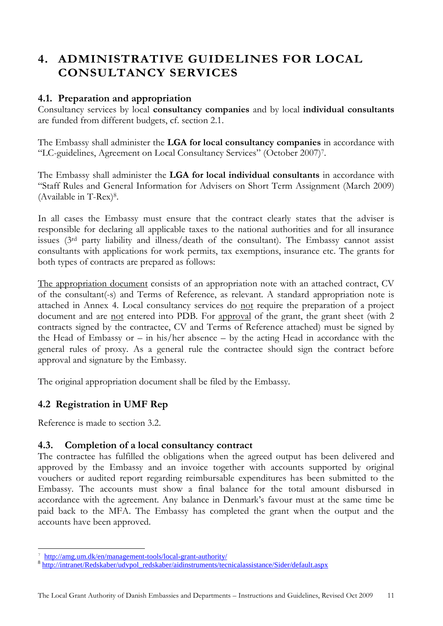# <span id="page-10-0"></span>**4. ADMINISTRATIVE GUIDELINES FOR LOCAL CONSULTANCY SERVICES**

# <span id="page-10-1"></span>**4.1. Preparation and appropriation**

Consultancy services by local **consultancy companies** and by local **individual consultants** are funded from different budgets, cf. section 2.1.

The Embassy shall administer the **LGA for local consultancy companies** in accordance with "LC-guidelines, Agreement on Local Consultancy Services" (October 2007) 7 .

The Embassy shall administer the **LGA for local individual consultants** in accordance with "Staff Rules and General Information for Advisers on Short Term Assignment (March 2009) (Available in T-Rex)<sup>8</sup> .

In all cases the Embassy must ensure that the contract clearly states that the adviser is responsible for declaring all applicable taxes to the national authorities and for all insurance issues (3rd party liability and illness/death of the consultant). The Embassy cannot assist consultants with applications for work permits, tax exemptions, insurance etc. The grants for both types of contracts are prepared as follows:

The appropriation document consists of an appropriation note with an attached contract, CV of the consultant(-s) and Terms of Reference, as relevant. A standard appropriation note is attached in Annex 4. Local consultancy services do not require the preparation of a project document and are <u>not</u> entered into PDB. For approval of the grant, the grant sheet (with 2 contracts signed by the contractee, CV and Terms of Reference attached) must be signed by the Head of Embassy or  $-$  in his/her absence  $-$  by the acting Head in accordance with the general rules of proxy. As a general rule the contractee should sign the contract before approval and signature by the Embassy.

The original appropriation document shall be filed by the Embassy.

# <span id="page-10-2"></span>**4.2 Registration in UMF Rep**

Reference is made to section 3.2.

-

# <span id="page-10-3"></span>**4.3. Completion of a local consultancy contract**

The contractee has fulfilled the obligations when the agreed output has been delivered and approved by the Embassy and an invoice together with accounts supported by original vouchers or audited report regarding reimbursable expenditures has been submitted to the Embassy. The accounts must show a final balance for the total amount disbursed in accordance with the agreement. Any balance in Denmark's favour must at the same time be paid back to the MFA. The Embassy has completed the grant when the output and the accounts have been approved.

<sup>7</sup> http://amg.um.dk/en/management-tools/local-grant-authority/

<sup>&</sup>lt;sup>8</sup> [http://intranet/Redskaber/udvpol\\_redskaber/aidinstruments/tecnicalassistance/Sider/default.aspx](http://intranet/Redskaber/udvpol_redskaber/aidinstruments/tecnicalassistance/Sider/default.aspx)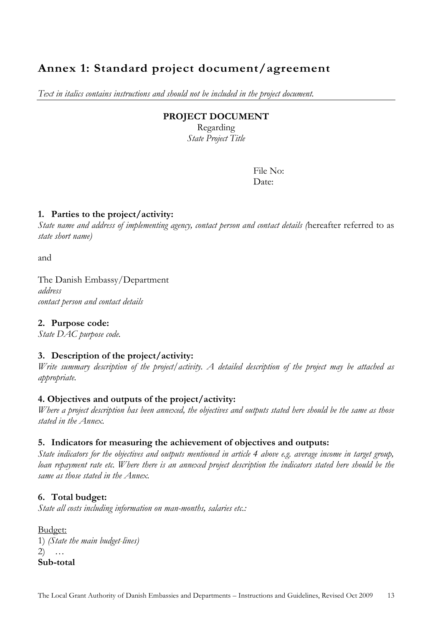# <span id="page-12-0"></span>**Annex 1: Standard project document/agreement**

*Text in italics contains instructions and should not be included in the project document.*

#### **PROJECT DOCUMENT**

Regarding *State Project Title*

> File No: Date:

#### **1. Parties to the project/activity:**

*State name and address of implementing agency, contact person and contact details (*hereafter referred to as *state short name)*

and

The Danish Embassy/Department *address contact person and contact details*

**2. Purpose code:**

*State DAC purpose code.*

#### **3. Description of the project/activity:**

*Write summary description of the project/activity. A detailed description of the project may be attached as appropriate.*

#### **4. Objectives and outputs of the project/activity:**

*Where a project description has been annexed, the objectives and outputs stated here should be the same as those stated in the Annex.*

#### **5. Indicators for measuring the achievement of objectives and outputs:**

*State indicators for the objectives and outputs mentioned in article 4 above e.g. average income in target group, loan repayment rate etc. Where there is an annexed project description the indicators stated here should be the same as those stated in the Annex.*

#### **6. Total budget:**

*State all costs including information on man-months, salaries etc.:* 

**Budget:** 1) *(State the main budget-lines)* 2) … **Sub-total**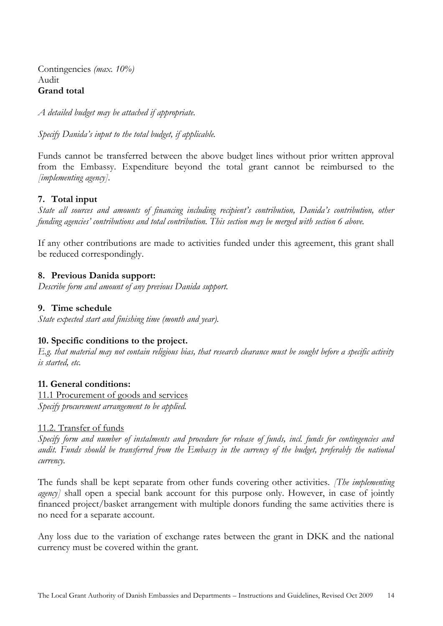Contingencies *(max. 10%)* Audit **Grand total**

*A detailed budget may be attached if appropriate.*

*Specify Danida's input to the total budget, if applicable.*

Funds cannot be transferred between the above budget lines without prior written approval from the Embassy. Expenditure beyond the total grant cannot be reimbursed to the *[implementing agency]*.

#### **7. Total input**

*State all sources and amounts of financing including recipient's contribution, Danida's contribution, other funding agencies' contributions and total contribution. This section may be merged with section 6 above.*

If any other contributions are made to activities funded under this agreement, this grant shall be reduced correspondingly.

#### **8. Previous Danida support:**

*Describe form and amount of any previous Danida support.*

#### **9. Time schedule**

*State expected start and finishing time (month and year).*

#### **10. Specific conditions to the project.**

*E.g. that material may not contain religious bias, that research clearance must be sought before a specific activity is started, etc.*

#### **11. General conditions:**

11.1 Procurement of goods and services *Specify procurement arrangement to be applied.*

#### 11.2. Transfer of funds

*Specify form and number of instalments and procedure for release of funds, incl. funds for contingencies and audit. Funds should be transferred from the Embassy in the currency of the budget, preferably the national currency.*

The funds shall be kept separate from other funds covering other activities. *[The implementing agency*] shall open a special bank account for this purpose only. However, in case of jointly financed project/basket arrangement with multiple donors funding the same activities there is no need for a separate account.

Any loss due to the variation of exchange rates between the grant in DKK and the national currency must be covered within the grant.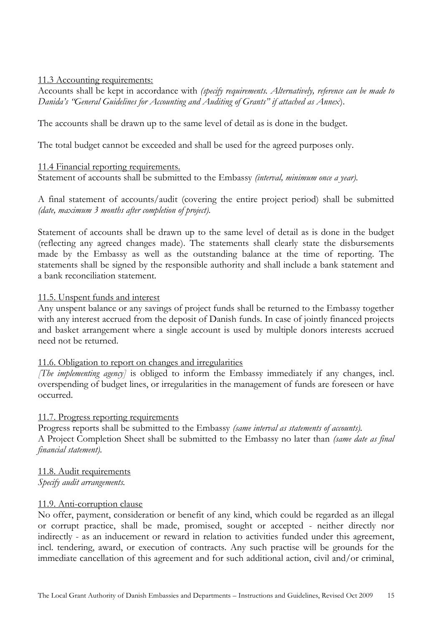11.3 Accounting requirements:

Accounts shall be kept in accordance with *(specify requirements. Alternatively, reference can be made to Danida's "General Guidelines for Accounting and Auditing of Grants" if attached as Annex*).

The accounts shall be drawn up to the same level of detail as is done in the budget.

The total budget cannot be exceeded and shall be used for the agreed purposes only.

#### 11.4 Financial reporting requirements.

Statement of accounts shall be submitted to the Embassy *(interval, minimum once a year).*

A final statement of accounts/audit (covering the entire project period) shall be submitted *(date, maximum 3 months after completion of project).*

Statement of accounts shall be drawn up to the same level of detail as is done in the budget (reflecting any agreed changes made). The statements shall clearly state the disbursements made by the Embassy as well as the outstanding balance at the time of reporting. The statements shall be signed by the responsible authority and shall include a bank statement and a bank reconciliation statement.

#### 11.5. Unspent funds and interest

Any unspent balance or any savings of project funds shall be returned to the Embassy together with any interest accrued from the deposit of Danish funds. In case of jointly financed projects and basket arrangement where a single account is used by multiple donors interests accrued need not be returned.

#### 11.6. Obligation to report on changes and irregularities

*[The implementing agency]* is obliged to inform the Embassy immediately if any changes, incl. overspending of budget lines, or irregularities in the management of funds are foreseen or have occurred.

#### 11.7. Progress reporting requirements

Progress reports shall be submitted to the Embassy *(same interval as statements of accounts).* A Project Completion Sheet shall be submitted to the Embassy no later than *(same date as final financial statement).*

11.8. Audit requirements *Specify audit arrangements.*

#### 11.9. Anti-corruption clause

No offer, payment, consideration or benefit of any kind, which could be regarded as an illegal or corrupt practice, shall be made, promised, sought or accepted - neither directly nor indirectly - as an inducement or reward in relation to activities funded under this agreement, incl. tendering, award, or execution of contracts. Any such practise will be grounds for the immediate cancellation of this agreement and for such additional action, civil and/or criminal,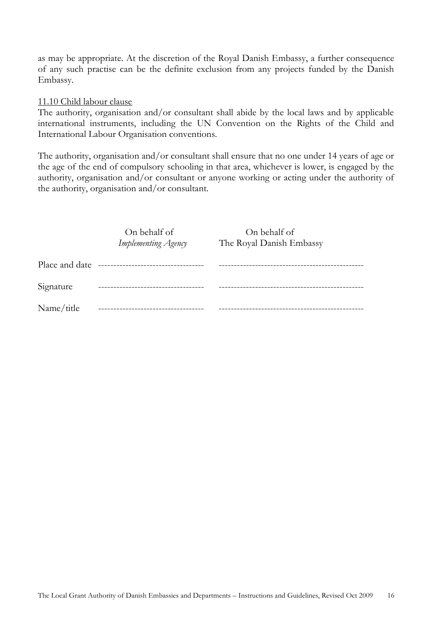as may be appropriate. At the discretion of the Royal Danish Embassy, a further consequence of any such practise can be the definite exclusion from any projects funded by the Danish Embassy.

#### 11.10 Child labour clause

The authority, organisation and/or consultant shall abide by the local laws and by applicable international instruments, including the UN Convention on the Rights of the Child and International Labour Organisation conventions.

The authority, organisation and/or consultant shall ensure that no one under 14 years of age or the age of the end of compulsory schooling in that area, whichever is lower, is engaged by the authority, organisation and/or consultant or anyone working or acting under the authority of the authority, organisation and/or consultant.

|                | On behalf of<br>Implementing Agency | On behalf of<br>The Royal Danish Embassy |  |
|----------------|-------------------------------------|------------------------------------------|--|
|                |                                     |                                          |  |
| Place and date | ----------------------------------  |                                          |  |
| Signature      |                                     |                                          |  |
| Name/title     |                                     |                                          |  |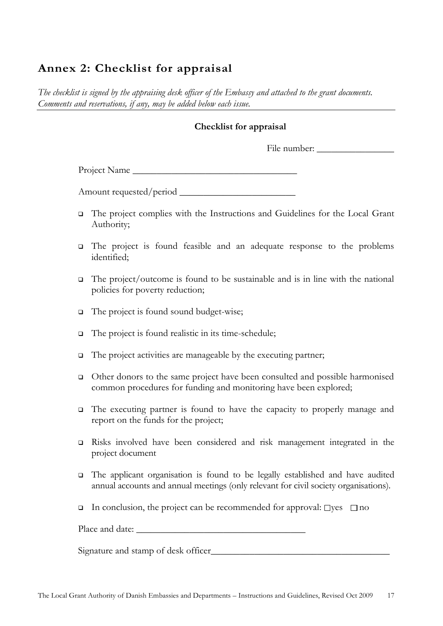# <span id="page-16-0"></span>**Annex 2: Checklist for appraisal**

*The checklist is signed by the appraising desk officer of the Embassy and attached to the grant documents. Comments and reservations, if any, may be added below each issue.*

#### **Checklist for appraisal**

File number: \_\_\_\_\_\_\_\_\_\_\_\_\_\_\_\_

Project Name

Amount requested/period \_\_\_\_\_\_\_\_\_\_\_\_\_\_\_\_\_\_\_\_\_\_\_\_

- The project complies with the Instructions and Guidelines for the Local Grant Authority;
- The project is found feasible and an adequate response to the problems identified;
- $\Box$  The project/outcome is found to be sustainable and is in line with the national policies for poverty reduction;
- The project is found sound budget-wise;
- □ The project is found realistic in its time-schedule;
- $\Box$  The project activities are manageable by the executing partner;
- Other donors to the same project have been consulted and possible harmonised common procedures for funding and monitoring have been explored;
- The executing partner is found to have the capacity to properly manage and report on the funds for the project;
- Risks involved have been considered and risk management integrated in the project document
- The applicant organisation is found to be legally established and have audited annual accounts and annual meetings (only relevant for civil society organisations).
- In conclusion, the project can be recommended for approval:  $\Box$ yes  $\Box$  no

Place and date: \_\_\_\_\_\_\_\_\_\_\_\_\_\_\_\_\_\_\_\_\_\_\_\_\_\_\_\_\_\_\_\_\_\_\_

Signature and stamp of desk officer\_\_\_\_\_\_\_\_\_\_\_\_\_\_\_\_\_\_\_\_\_\_\_\_\_\_\_\_\_\_\_\_\_\_\_\_\_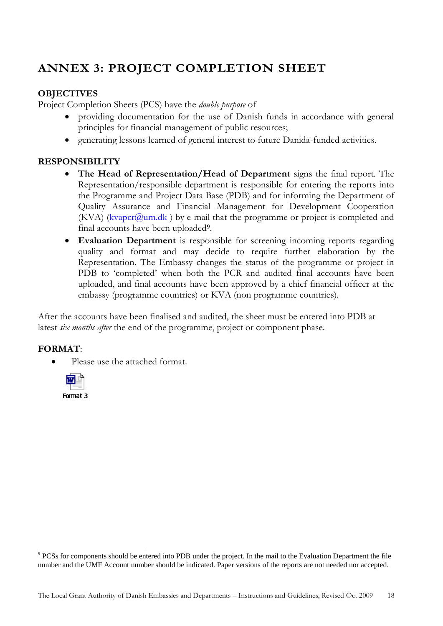# <span id="page-17-0"></span>**ANNEX 3: PROJECT COMPLETION SHEET**

### **OBJECTIVES**

Project Completion Sheets (PCS) have the *double purpose* of

- providing documentation for the use of Danish funds in accordance with general principles for financial management of public resources;
- generating lessons learned of general interest to future Danida-funded activities.

### **RESPONSIBILITY**

- **The Head of Representation/Head of Department** signs the final report. The Representation/responsible department is responsible for entering the reports into the Programme and Project Data Base (PDB) and for informing the Department of Quality Assurance and Financial Management for Development Cooperation  $(KVA)$  ( $kvapor$ ( $@um.dk$ ) by e-mail that the programme or project is completed and final accounts have been uploaded**<sup>9</sup>** .
- **Evaluation Department** is responsible for screening incoming reports regarding quality and format and may decide to require further elaboration by the Representation. The Embassy changes the status of the programme or project in PDB to 'completed' when both the PCR and audited final accounts have been uploaded, and final accounts have been approved by a chief financial officer at the embassy (programme countries) or KVA (non programme countries).

After the accounts have been finalised and audited, the sheet must be entered into PDB at latest *six months after* the end of the programme, project or component phase.

### **FORMAT**:

• Please use the attached format.



PCSs for components should be entered into PDB under the project. In the mail to the Evaluation Department the file number and the UMF Account number should be indicated. Paper versions of the reports are not needed nor accepted.